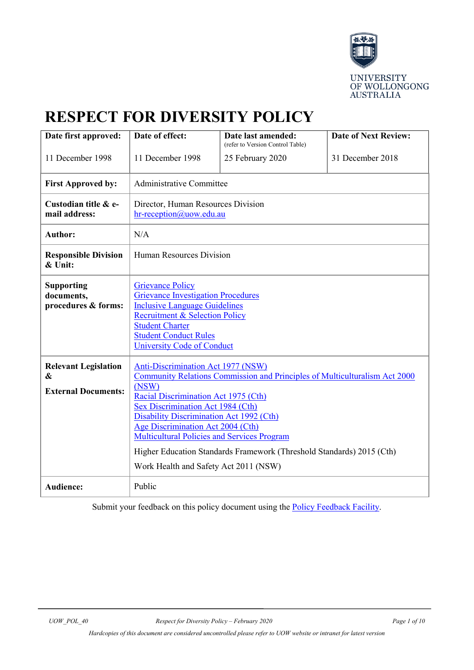

# **RESPECT FOR DIVERSITY POLICY**

| Date first approved:                                           | Date of effect:                                                                                                                                                                                                                                                                                                                                                                                                                                                               | Date last amended:               | <b>Date of Next Review:</b> |
|----------------------------------------------------------------|-------------------------------------------------------------------------------------------------------------------------------------------------------------------------------------------------------------------------------------------------------------------------------------------------------------------------------------------------------------------------------------------------------------------------------------------------------------------------------|----------------------------------|-----------------------------|
|                                                                |                                                                                                                                                                                                                                                                                                                                                                                                                                                                               | (refer to Version Control Table) |                             |
| 11 December 1998                                               | 11 December 1998                                                                                                                                                                                                                                                                                                                                                                                                                                                              | 25 February 2020                 | 31 December 2018            |
| <b>First Approved by:</b>                                      | <b>Administrative Committee</b>                                                                                                                                                                                                                                                                                                                                                                                                                                               |                                  |                             |
| Custodian title & e-<br>mail address:                          | Director, Human Resources Division<br>hr-reception@uow.edu.au                                                                                                                                                                                                                                                                                                                                                                                                                 |                                  |                             |
| <b>Author:</b>                                                 | N/A                                                                                                                                                                                                                                                                                                                                                                                                                                                                           |                                  |                             |
| <b>Responsible Division</b><br>& Unit:                         | Human Resources Division                                                                                                                                                                                                                                                                                                                                                                                                                                                      |                                  |                             |
| <b>Supporting</b><br>documents,<br>procedures & forms:         | <b>Grievance Policy</b><br><b>Grievance Investigation Procedures</b><br><b>Inclusive Language Guidelines</b><br><b>Recruitment &amp; Selection Policy</b><br><b>Student Charter</b><br><b>Student Conduct Rules</b><br><b>University Code of Conduct</b>                                                                                                                                                                                                                      |                                  |                             |
| <b>Relevant Legislation</b><br>&<br><b>External Documents:</b> | Anti-Discrimination Act 1977 (NSW)<br><b>Community Relations Commission and Principles of Multiculturalism Act 2000</b><br>(NSW)<br>Racial Discrimination Act 1975 (Cth)<br><b>Sex Discrimination Act 1984 (Cth)</b><br>Disability Discrimination Act 1992 (Cth)<br>Age Discrimination Act 2004 (Cth)<br><b>Multicultural Policies and Services Program</b><br>Higher Education Standards Framework (Threshold Standards) 2015 (Cth)<br>Work Health and Safety Act 2011 (NSW) |                                  |                             |
| <b>Audience:</b>                                               | Public                                                                                                                                                                                                                                                                                                                                                                                                                                                                        |                                  |                             |

Submit your feedback on this policy document using the **Policy Feedback Facility**.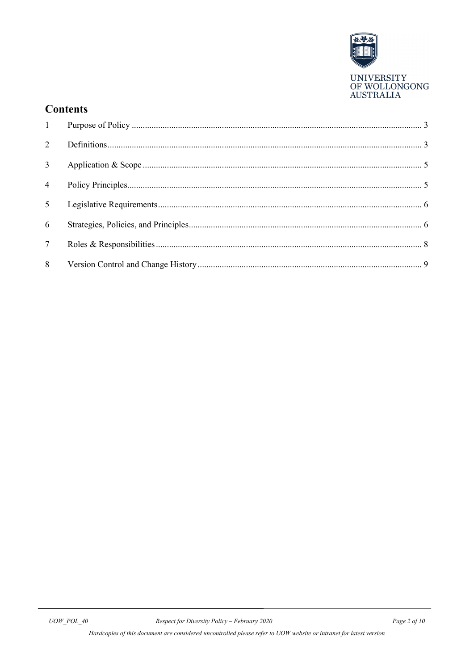

### **Contents**

| $\overline{2}$  |  |
|-----------------|--|
| 3 <sup>1</sup>  |  |
| $\overline{4}$  |  |
| 5 <sup>5</sup>  |  |
| 6               |  |
| $7\phantom{.0}$ |  |
| 8               |  |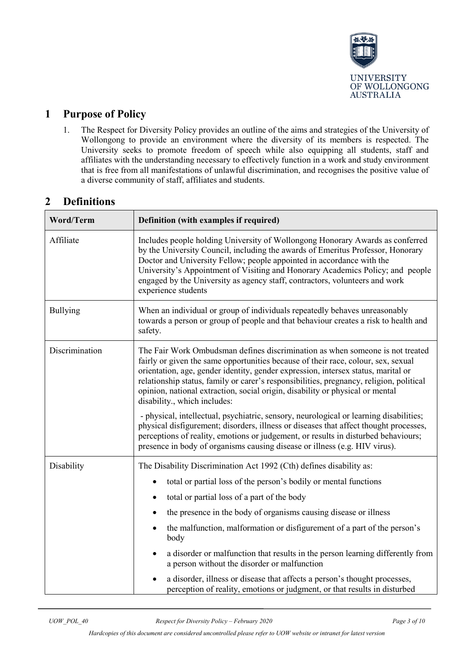

#### <span id="page-2-0"></span>**1 Purpose of Policy**

1. The Respect for Diversity Policy provides an outline of the aims and strategies of the University of Wollongong to provide an environment where the diversity of its members is respected. The University seeks to promote freedom of speech while also equipping all students, staff and affiliates with the understanding necessary to effectively function in a work and study environment that is free from all manifestations of unlawful discrimination, and recognises the positive value of a diverse community of staff, affiliates and students.

#### <span id="page-2-1"></span>**2 Definitions**

| Word/Term       | Definition (with examples if required)                                                                                                                                                                                                                                                                                                                                                                                                                                                                                                                                                                                                                                                                                                                                                                                     |  |  |
|-----------------|----------------------------------------------------------------------------------------------------------------------------------------------------------------------------------------------------------------------------------------------------------------------------------------------------------------------------------------------------------------------------------------------------------------------------------------------------------------------------------------------------------------------------------------------------------------------------------------------------------------------------------------------------------------------------------------------------------------------------------------------------------------------------------------------------------------------------|--|--|
| Affiliate       | Includes people holding University of Wollongong Honorary Awards as conferred<br>by the University Council, including the awards of Emeritus Professor, Honorary<br>Doctor and University Fellow; people appointed in accordance with the<br>University's Appointment of Visiting and Honorary Academics Policy; and people<br>engaged by the University as agency staff, contractors, volunteers and work<br>experience students                                                                                                                                                                                                                                                                                                                                                                                          |  |  |
| <b>Bullying</b> | When an individual or group of individuals repeatedly behaves unreasonably<br>towards a person or group of people and that behaviour creates a risk to health and<br>safety.                                                                                                                                                                                                                                                                                                                                                                                                                                                                                                                                                                                                                                               |  |  |
| Discrimination  | The Fair Work Ombudsman defines discrimination as when someone is not treated<br>fairly or given the same opportunities because of their race, colour, sex, sexual<br>orientation, age, gender identity, gender expression, intersex status, marital or<br>relationship status, family or carer's responsibilities, pregnancy, religion, political<br>opinion, national extraction, social origin, disability or physical or mental<br>disability., which includes:<br>- physical, intellectual, psychiatric, sensory, neurological or learning disabilities;<br>physical disfigurement; disorders, illness or diseases that affect thought processes,<br>perceptions of reality, emotions or judgement, or results in disturbed behaviours;<br>presence in body of organisms causing disease or illness (e.g. HIV virus). |  |  |
| Disability      | The Disability Discrimination Act 1992 (Cth) defines disability as:<br>total or partial loss of the person's bodily or mental functions<br>$\bullet$<br>total or partial loss of a part of the body<br>٠<br>the presence in the body of organisms causing disease or illness<br>$\bullet$<br>the malfunction, malformation or disfigurement of a part of the person's<br>$\bullet$<br>body<br>a disorder or malfunction that results in the person learning differently from<br>$\bullet$<br>a person without the disorder or malfunction<br>a disorder, illness or disease that affects a person's thought processes,<br>perception of reality, emotions or judgment, or that results in disturbed                                                                                                                        |  |  |

*Hardcopies of this document are considered uncontrolled please refer to UOW website or intranet for latest version*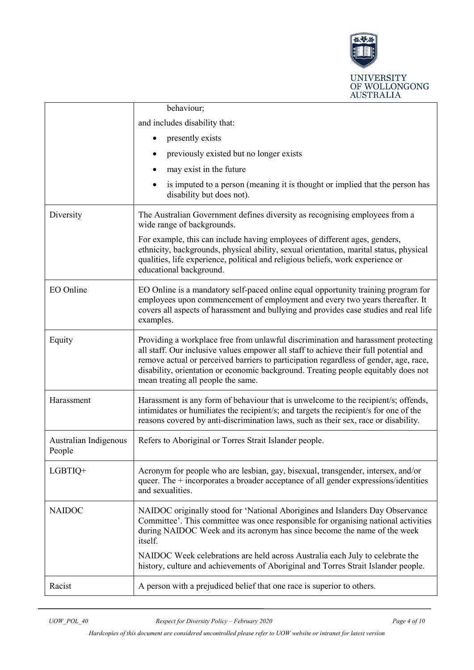

|                                 | behaviour;                                                                                                                                                                                                                                                                                                                                                                                      |  |  |
|---------------------------------|-------------------------------------------------------------------------------------------------------------------------------------------------------------------------------------------------------------------------------------------------------------------------------------------------------------------------------------------------------------------------------------------------|--|--|
|                                 | and includes disability that:                                                                                                                                                                                                                                                                                                                                                                   |  |  |
|                                 | presently exists                                                                                                                                                                                                                                                                                                                                                                                |  |  |
|                                 | previously existed but no longer exists                                                                                                                                                                                                                                                                                                                                                         |  |  |
|                                 | may exist in the future                                                                                                                                                                                                                                                                                                                                                                         |  |  |
|                                 | is imputed to a person (meaning it is thought or implied that the person has<br>disability but does not).                                                                                                                                                                                                                                                                                       |  |  |
| Diversity                       | The Australian Government defines diversity as recognising employees from a<br>wide range of backgrounds.                                                                                                                                                                                                                                                                                       |  |  |
|                                 | For example, this can include having employees of different ages, genders,<br>ethnicity, backgrounds, physical ability, sexual orientation, marital status, physical<br>qualities, life experience, political and religious beliefs, work experience or<br>educational background.                                                                                                              |  |  |
| EO Online                       | EO Online is a mandatory self-paced online equal opportunity training program for<br>employees upon commencement of employment and every two years thereafter. It<br>covers all aspects of harassment and bullying and provides case studies and real life<br>examples.                                                                                                                         |  |  |
| Equity                          | Providing a workplace free from unlawful discrimination and harassment protecting<br>all staff. Our inclusive values empower all staff to achieve their full potential and<br>remove actual or perceived barriers to participation regardless of gender, age, race,<br>disability, orientation or economic background. Treating people equitably does not<br>mean treating all people the same. |  |  |
| Harassment                      | Harassment is any form of behaviour that is unwelcome to the recipient/s; offends,<br>intimidates or humiliates the recipient/s; and targets the recipient/s for one of the<br>reasons covered by anti-discrimination laws, such as their sex, race or disability.                                                                                                                              |  |  |
| Australian Indigenous<br>People | Refers to Aboriginal or Torres Strait Islander people.                                                                                                                                                                                                                                                                                                                                          |  |  |
| LGBTIQ+                         | Acronym for people who are lesbian, gay, bisexual, transgender, intersex, and/or<br>queer. The $+$ incorporates a broader acceptance of all gender expressions/identities<br>and sexualities.                                                                                                                                                                                                   |  |  |
| <b>NAIDOC</b>                   | NAIDOC originally stood for 'National Aborigines and Islanders Day Observance<br>Committee'. This committee was once responsible for organising national activities<br>during NAIDOC Week and its acronym has since become the name of the week<br>itself.                                                                                                                                      |  |  |
|                                 | NAIDOC Week celebrations are held across Australia each July to celebrate the<br>history, culture and achievements of Aboriginal and Torres Strait Islander people.                                                                                                                                                                                                                             |  |  |
| Racist                          | A person with a prejudiced belief that one race is superior to others.                                                                                                                                                                                                                                                                                                                          |  |  |

*Hardcopies of this document are considered uncontrolled please refer to UOW website or intranet for latest version*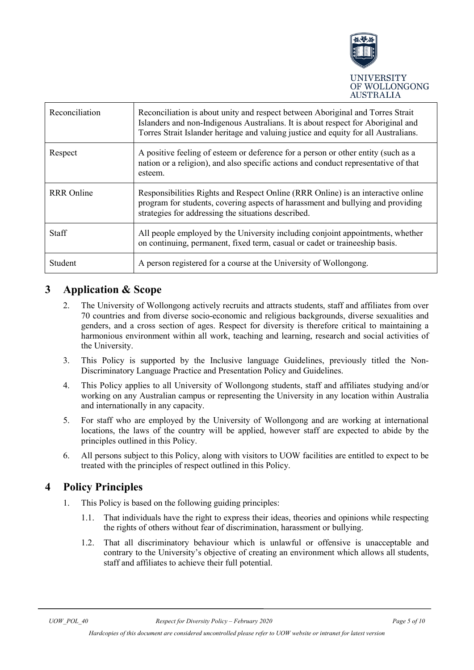

| Reconciliation    | Reconciliation is about unity and respect between Aboriginal and Torres Strait<br>Islanders and non-Indigenous Australians. It is about respect for Aboriginal and<br>Torres Strait Islander heritage and valuing justice and equity for all Australians. |
|-------------------|-----------------------------------------------------------------------------------------------------------------------------------------------------------------------------------------------------------------------------------------------------------|
| Respect           | A positive feeling of esteem or deference for a person or other entity (such as a<br>nation or a religion), and also specific actions and conduct representative of that<br>esteem.                                                                       |
| <b>RRR</b> Online | Responsibilities Rights and Respect Online (RRR Online) is an interactive online<br>program for students, covering aspects of harassment and bullying and providing<br>strategies for addressing the situations described.                                |
| <b>Staff</b>      | All people employed by the University including conjoint appointments, whether<br>on continuing, permanent, fixed term, casual or cadet or traineeship basis.                                                                                             |
| Student           | A person registered for a course at the University of Wollongong.                                                                                                                                                                                         |

#### <span id="page-4-0"></span>**3 Application & Scope**

- 2. The University of Wollongong actively recruits and attracts students, staff and affiliates from over 70 countries and from diverse socio-economic and religious backgrounds, diverse sexualities and genders, and a cross section of ages. Respect for diversity is therefore critical to maintaining a harmonious environment within all work, teaching and learning, research and social activities of the University.
- 3. This Policy is supported by the Inclusive language Guidelines, previously titled the Non-Discriminatory Language Practice and Presentation Policy and Guidelines.
- 4. This Policy applies to all University of Wollongong students, staff and affiliates studying and/or working on any Australian campus or representing the University in any location within Australia and internationally in any capacity.
- 5. For staff who are employed by the University of Wollongong and are working at international locations, the laws of the country will be applied, however staff are expected to abide by the principles outlined in this Policy.
- 6. All persons subject to this Policy, along with visitors to UOW facilities are entitled to expect to be treated with the principles of respect outlined in this Policy.

#### <span id="page-4-1"></span>**4 Policy Principles**

- 1. This Policy is based on the following guiding principles:
	- 1.1. That individuals have the right to express their ideas, theories and opinions while respecting the rights of others without fear of discrimination, harassment or bullying.
	- 1.2. That all discriminatory behaviour which is unlawful or offensive is unacceptable and contrary to the University's objective of creating an environment which allows all students, staff and affiliates to achieve their full potential.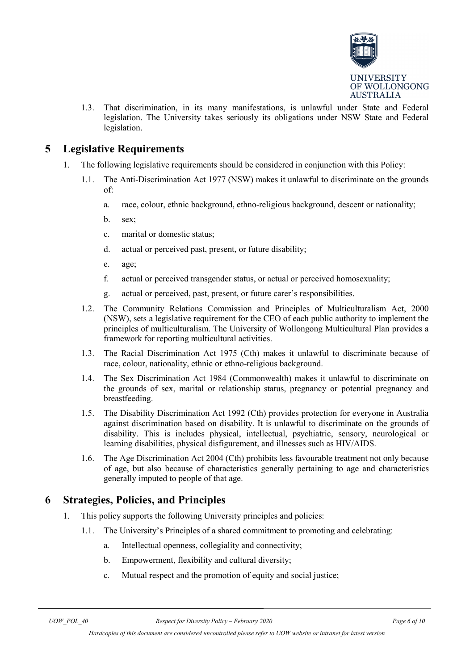

1.3. That discrimination, in its many manifestations, is unlawful under State and Federal legislation. The University takes seriously its obligations under NSW State and Federal legislation.

#### <span id="page-5-0"></span>**5 Legislative Requirements**

- 1. The following legislative requirements should be considered in conjunction with this Policy:
	- 1.1. The Anti-Discrimination Act 1977 (NSW) makes it unlawful to discriminate on the grounds of:
		- a. race, colour, ethnic background, ethno-religious background, descent or nationality;
		- b. sex;
		- c. marital or domestic status;
		- d. actual or perceived past, present, or future disability;
		- e. age;
		- f. actual or perceived transgender status, or actual or perceived homosexuality;
		- g. actual or perceived, past, present, or future carer's responsibilities.
	- 1.2. The Community Relations Commission and Principles of Multiculturalism Act, 2000 (NSW), sets a legislative requirement for the CEO of each public authority to implement the principles of multiculturalism. The University of Wollongong Multicultural Plan provides a framework for reporting multicultural activities.
	- 1.3. The Racial Discrimination Act 1975 (Cth) makes it unlawful to discriminate because of race, colour, nationality, ethnic or ethno-religious background.
	- 1.4. The Sex Discrimination Act 1984 (Commonwealth) makes it unlawful to discriminate on the grounds of sex, marital or relationship status, pregnancy or potential pregnancy and breastfeeding.
	- 1.5. The Disability Discrimination Act 1992 (Cth) provides protection for everyone in Australia against discrimination based on disability. It is unlawful to discriminate on the grounds of disability. This is includes physical, intellectual, psychiatric, sensory, neurological or learning disabilities, physical disfigurement, and illnesses such as HIV/AIDS.
	- 1.6. The Age Discrimination Act 2004 (Cth) prohibits less favourable treatment not only because of age, but also because of characteristics generally pertaining to age and characteristics generally imputed to people of that age.

#### <span id="page-5-1"></span>**6 Strategies, Policies, and Principles**

- 1. This policy supports the following University principles and policies:
	- 1.1. The University's Principles of a shared commitment to promoting and celebrating:
		- a. Intellectual openness, collegiality and connectivity;
		- b. Empowerment, flexibility and cultural diversity;
		- c. Mutual respect and the promotion of equity and social justice;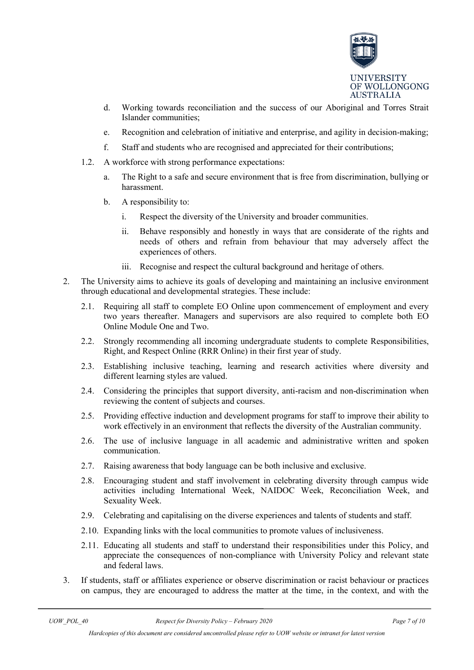

- d. Working towards reconciliation and the success of our Aboriginal and Torres Strait Islander communities;
- e. Recognition and celebration of initiative and enterprise, and agility in decision-making;
- f. Staff and students who are recognised and appreciated for their contributions;
- 1.2. A workforce with strong performance expectations:
	- a. The Right to a safe and secure environment that is free from discrimination, bullying or harassment.
	- b. A responsibility to:
		- i. Respect the diversity of the University and broader communities.
		- ii. Behave responsibly and honestly in ways that are considerate of the rights and needs of others and refrain from behaviour that may adversely affect the experiences of others.
		- iii. Recognise and respect the cultural background and heritage of others.
- 2. The University aims to achieve its goals of developing and maintaining an inclusive environment through educational and developmental strategies. These include:
	- 2.1. Requiring all staff to complete EO Online upon commencement of employment and every two years thereafter. Managers and supervisors are also required to complete both EO Online Module One and Two.
	- 2.2. Strongly recommending all incoming undergraduate students to complete Responsibilities, Right, and Respect Online (RRR Online) in their first year of study.
	- 2.3. Establishing inclusive teaching, learning and research activities where diversity and different learning styles are valued.
	- 2.4. Considering the principles that support diversity, anti-racism and non-discrimination when reviewing the content of subjects and courses.
	- 2.5. Providing effective induction and development programs for staff to improve their ability to work effectively in an environment that reflects the diversity of the Australian community.
	- 2.6. The use of inclusive language in all academic and administrative written and spoken communication.
	- 2.7. Raising awareness that body language can be both inclusive and exclusive.
	- 2.8. Encouraging student and staff involvement in celebrating diversity through campus wide activities including International Week, NAIDOC Week, Reconciliation Week, and Sexuality Week.
	- 2.9. Celebrating and capitalising on the diverse experiences and talents of students and staff.
	- 2.10. Expanding links with the local communities to promote values of inclusiveness.
	- 2.11. Educating all students and staff to understand their responsibilities under this Policy, and appreciate the consequences of non-compliance with University Policy and relevant state and federal laws.
- 3. If students, staff or affiliates experience or observe discrimination or racist behaviour or practices on campus, they are encouraged to address the matter at the time, in the context, and with the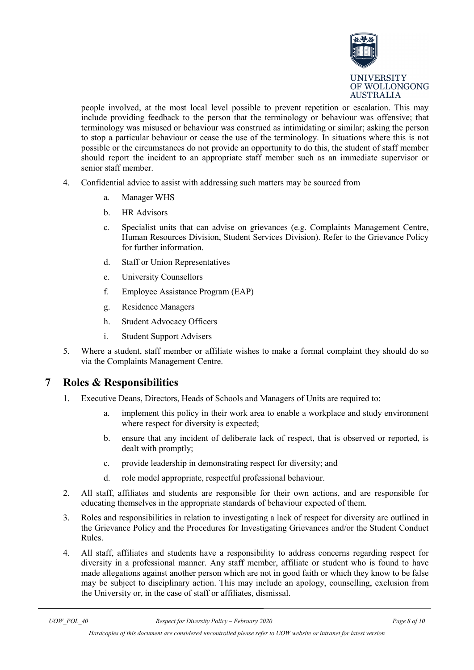

people involved, at the most local level possible to prevent repetition or escalation. This may include providing feedback to the person that the terminology or behaviour was offensive; that terminology was misused or behaviour was construed as intimidating or similar; asking the person to stop a particular behaviour or cease the use of the terminology. In situations where this is not possible or the circumstances do not provide an opportunity to do this, the student of staff member should report the incident to an appropriate staff member such as an immediate supervisor or senior staff member.

- 4. Confidential advice to assist with addressing such matters may be sourced from
	- a. Manager WHS
	- b. HR Advisors
	- c. Specialist units that can advise on grievances (e.g. Complaints Management Centre, Human Resources Division, Student Services Division). Refer to the Grievance Policy for further information.
	- d. Staff or Union Representatives
	- e. University Counsellors
	- f. Employee Assistance Program (EAP)
	- g. Residence Managers
	- h. Student Advocacy Officers
	- i. Student Support Advisers
- 5. Where a student, staff member or affiliate wishes to make a formal complaint they should do so via the Complaints Management Centre.

#### <span id="page-7-0"></span>**7 Roles & Responsibilities**

- 1. Executive Deans, Directors, Heads of Schools and Managers of Units are required to:
	- a. implement this policy in their work area to enable a workplace and study environment where respect for diversity is expected;
	- b. ensure that any incident of deliberate lack of respect, that is observed or reported, is dealt with promptly;
	- c. provide leadership in demonstrating respect for diversity; and
	- d. role model appropriate, respectful professional behaviour.
- 2. All staff, affiliates and students are responsible for their own actions, and are responsible for educating themselves in the appropriate standards of behaviour expected of them.
- 3. Roles and responsibilities in relation to investigating a lack of respect for diversity are outlined in the Grievance Policy and the Procedures for Investigating Grievances and/or the Student Conduct Rules.
- 4. All staff, affiliates and students have a responsibility to address concerns regarding respect for diversity in a professional manner. Any staff member, affiliate or student who is found to have made allegations against another person which are not in good faith or which they know to be false may be subject to disciplinary action. This may include an apology, counselling, exclusion from the University or, in the case of staff or affiliates, dismissal.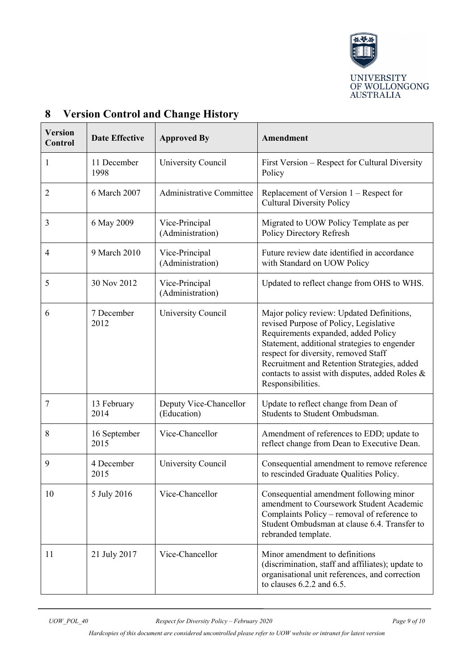

| <b>Version</b><br>Control | <b>Date Effective</b> | <b>Approved By</b>                    | Amendment                                                                                                                                                                                                                                                                                                                                 |
|---------------------------|-----------------------|---------------------------------------|-------------------------------------------------------------------------------------------------------------------------------------------------------------------------------------------------------------------------------------------------------------------------------------------------------------------------------------------|
| $\mathbf{1}$              | 11 December<br>1998   | University Council                    | First Version – Respect for Cultural Diversity<br>Policy                                                                                                                                                                                                                                                                                  |
| $\overline{2}$            | 6 March 2007          | Administrative Committee              | Replacement of Version 1 – Respect for<br><b>Cultural Diversity Policy</b>                                                                                                                                                                                                                                                                |
| 3                         | 6 May 2009            | Vice-Principal<br>(Administration)    | Migrated to UOW Policy Template as per<br>Policy Directory Refresh                                                                                                                                                                                                                                                                        |
| $\overline{4}$            | 9 March 2010          | Vice-Principal<br>(Administration)    | Future review date identified in accordance<br>with Standard on UOW Policy                                                                                                                                                                                                                                                                |
| 5                         | 30 Nov 2012           | Vice-Principal<br>(Administration)    | Updated to reflect change from OHS to WHS.                                                                                                                                                                                                                                                                                                |
| 6                         | 7 December<br>2012    | University Council                    | Major policy review: Updated Definitions,<br>revised Purpose of Policy, Legislative<br>Requirements expanded, added Policy<br>Statement, additional strategies to engender<br>respect for diversity, removed Staff<br>Recruitment and Retention Strategies, added<br>contacts to assist with disputes, added Roles &<br>Responsibilities. |
| 7                         | 13 February<br>2014   | Deputy Vice-Chancellor<br>(Education) | Update to reflect change from Dean of<br>Students to Student Ombudsman.                                                                                                                                                                                                                                                                   |
| 8                         | 16 September<br>2015  | Vice-Chancellor                       | Amendment of references to EDD; update to<br>reflect change from Dean to Executive Dean.                                                                                                                                                                                                                                                  |
| 9                         | 4 December<br>2015    | University Council                    | Consequential amendment to remove reference<br>to rescinded Graduate Qualities Policy.                                                                                                                                                                                                                                                    |
| 10                        | 5 July 2016           | Vice-Chancellor                       | Consequential amendment following minor<br>amendment to Coursework Student Academic<br>Complaints Policy – removal of reference to<br>Student Ombudsman at clause 6.4. Transfer to<br>rebranded template.                                                                                                                                 |
| 11                        | 21 July 2017          | Vice-Chancellor                       | Minor amendment to definitions<br>(discrimination, staff and affiliates); update to<br>organisational unit references, and correction<br>to clauses $6.2.2$ and $6.5$ .                                                                                                                                                                   |

## <span id="page-8-0"></span>**8 Version Control and Change History**

*Hardcopies of this document are considered uncontrolled please refer to UOW website or intranet for latest version*